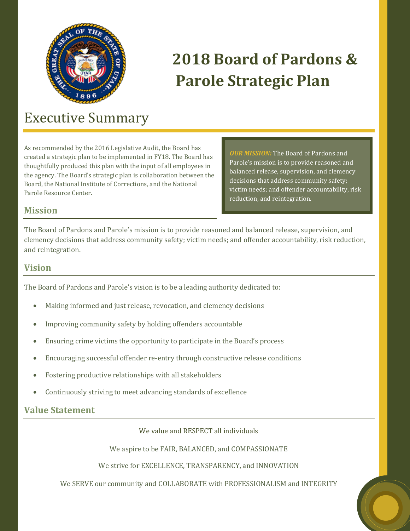

# **2018 Board of Pardons & Parole Strategic Plan**

# Executive Summary

As recommended by the 2016 Legislative Audit, the Board has created a strategic plan to be implemented in FY18. The Board has thoughtfully produced this plan with the input of all employees in the agency. The Board's strategic plan is collaboration between the Board, the National Institute of Corrections, and the National Parole Resource Center.

*OUR MISSION:* The Board of Pardons and Parole's mission is to provide reasoned and balanced release, supervision, and clemency decisions that address community safety; victim needs; and offender accountability, risk reduction, and reintegration.

### **Mission**

The Board of Pardons and Parole's mission is to provide reasoned and balanced release, supervision, and clemency decisions that address community safety; victim needs; and offender accountability, risk reduction, and reintegration.

#### **Vision**

The Board of Pardons and Parole's vision is to be a leading authority dedicated to:

- Making informed and just release, revocation, and clemency decisions
- Improving community safety by holding offenders accountable
- Ensuring crime victims the opportunity to participate in the Board's process
- Encouraging successful offender re-entry through constructive release conditions
- Fostering productive relationships with all stakeholders
- Continuously striving to meet advancing standards of excellence

## **Value Statement**

We value and RESPECT all individuals

We aspire to be FAIR, BALANCED, and COMPASSIONATE

We strive for EXCELLENCE, TRANSPARENCY, and INNOVATION

We SERVE our community and COLLABORATE with PROFESSIONALISM and INTEGRITY